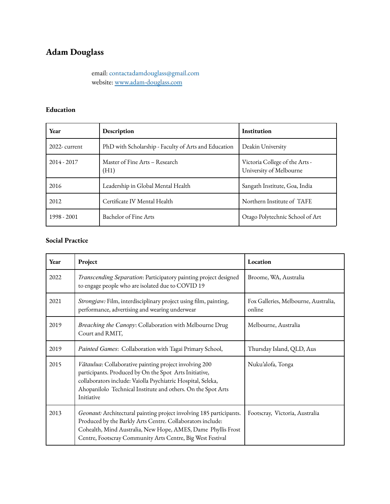# **Adam Douglass**

email: contactadamdouglass@gmail.com website: [www.adam-douglass.com](http://www.adam-douglass.com)

#### **Education**

| Year          | Description                                          | <b>Institution</b>                                        |
|---------------|------------------------------------------------------|-----------------------------------------------------------|
| 2022-current  | PhD with Scholarship - Faculty of Arts and Education | Deakin University                                         |
| $2014 - 2017$ | Master of Fine Arts – Research<br>(H1)               | Victoria College of the Arts -<br>University of Melbourne |
| 2016          | Leadership in Global Mental Health                   | Sangath Institute, Goa, India                             |
| 2012          | Certificate IV Mental Health                         | Northern Institute of TAFE                                |
| 1998 - 2001   | Bachelor of Fine Arts                                | Otago Polytechnic School of Art                           |

## **Social Practice**

| Year | Project                                                                                                                                                                                                                                                         | Location                                       |
|------|-----------------------------------------------------------------------------------------------------------------------------------------------------------------------------------------------------------------------------------------------------------------|------------------------------------------------|
| 2022 | Transcending Separation: Participatory painting project designed<br>to engage people who are isolated due to COVID 19                                                                                                                                           | Broome, WA, Australia                          |
| 2021 | Strongjaw: Film, interdisciplinary project using film, painting,<br>performance, advertising and wearing underwear                                                                                                                                              | Fox Galleries, Melbourne, Australia,<br>online |
| 2019 | Breaching the Canopy: Collaboration with Melbourne Drug<br>Court and RMIT,                                                                                                                                                                                      | Melbourne, Australia                           |
| 2019 | Painted Games: Collaboration with Tagai Primary School,                                                                                                                                                                                                         | Thursday Island, QLD, Aus                      |
| 2015 | Vātaulua: Collaborative painting project involving 200<br>participants. Produced by On the Spot Arts Initiative,<br>collaborators include: Vaiolla Psychiatric Hospital, Seleka,<br>Ahopanilolo Technical Institute and others. On the Spot Arts<br>Initiative  | Nuku'alofa, Tonga                              |
| 2013 | Geonaut: Architectural painting project involving 185 participants.<br>Produced by the Barkly Arts Centre. Collaborators include:<br>Cohealth, Mind Australia, New Hope, AMES, Dame Phyllis Frost<br>Centre, Footscray Community Arts Centre, Big West Festival | Footscray, Victoria, Australia                 |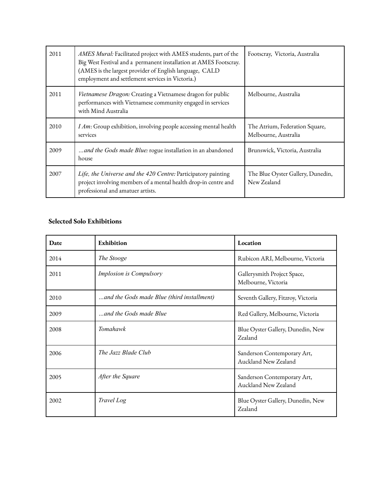| 2011 | AMES Mural: Facilitated project with AMES students, part of the<br>Big West Festival and a permanent installation at AMES Footscray.<br>(AMES is the largest provider of English language, CALD<br>employment and settlement services in Victoria.) | Footscray, Victoria, Australia                         |
|------|-----------------------------------------------------------------------------------------------------------------------------------------------------------------------------------------------------------------------------------------------------|--------------------------------------------------------|
| 2011 | Vietnamese Dragon: Creating a Vietnamese dragon for public<br>performances with Vietnamese community engaged in services<br>with Mind Australia                                                                                                     | Melbourne, Australia                                   |
| 2010 | I Am: Group exhibition, involving people accessing mental health<br>services                                                                                                                                                                        | The Atrium, Federation Square,<br>Melbourne, Australia |
| 2009 | and the Gods made Blue: rogue installation in an abandoned<br>house                                                                                                                                                                                 | Brunswick, Victoria, Australia                         |
| 2007 | Life, the Universe and the 420 Centre: Participatory painting<br>project involving members of a mental health drop-in centre and<br>professional and amatuer artists.                                                                               | The Blue Oyster Gallery, Dunedin,<br>New Zealand       |

### **Selected Solo Exhibitions**

| Date | Exhibition                                 | Location                                            |
|------|--------------------------------------------|-----------------------------------------------------|
| 2014 | The Stooge                                 | Rubicon ARI, Melbourne, Victoria                    |
| 2011 | Implosion is Compulsory                    | Gallerysmith Project Space,<br>Melbourne, Victoria  |
| 2010 | and the Gods made Blue (third installment) | Seventh Gallery, Fitzroy, Victoria                  |
| 2009 | and the Gods made Blue                     | Red Gallery, Melbourne, Victoria                    |
| 2008 | Tomahawk                                   | Blue Oyster Gallery, Dunedin, New<br>Zealand        |
| 2006 | The Jazz Blade Club                        | Sanderson Contemporary Art,<br>Auckland New Zealand |
| 2005 | After the Square                           | Sanderson Contemporary Art,<br>Auckland New Zealand |
| 2002 | Travel Log                                 | Blue Oyster Gallery, Dunedin, New<br>Zealand        |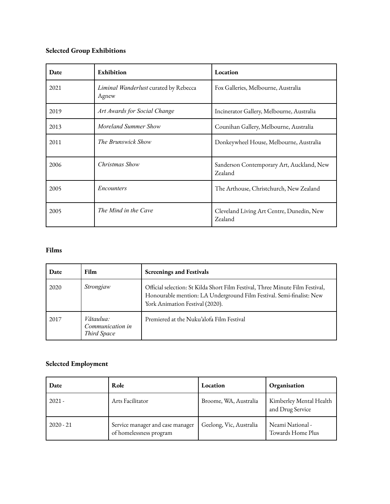# **Selected Group Exhibitions**

| Date | Exhibition                                     | Location                                             |
|------|------------------------------------------------|------------------------------------------------------|
| 2021 | Liminal Wanderlust curated by Rebecca<br>Agnew | Fox Galleries, Melbourne, Australia                  |
| 2019 | Art Awards for Social Change                   | Incinerator Gallery, Melbourne, Australia            |
| 2013 | Moreland Summer Show                           | Counihan Gallery, Melbourne, Australia               |
| 2011 | The Brunswick Show                             | Donkeywheel House, Melbourne, Australia              |
| 2006 | Christmas Show                                 | Sanderson Contemporary Art, Auckland, New<br>Zealand |
| 2005 | Encounters                                     | The Arthouse, Christchurch, New Zealand              |
| 2005 | The Mind in the Cave                           | Cleveland Living Art Centre, Dunedin, New<br>Zealand |

## **Films**

| Date | <b>Film</b>                                  | <b>Screenings and Festivals</b>                                                                                                                                                          |
|------|----------------------------------------------|------------------------------------------------------------------------------------------------------------------------------------------------------------------------------------------|
| 2020 | Strongjaw                                    | Official selection: St Kilda Short Film Festival, Three Minute Film Festival,<br>Honourable mention: LA Underground Film Festival. Semi-finalist: New<br>York Animation Festival (2020). |
| 2017 | Vātaulua:<br>Communication in<br>Third Space | Premiered at the Nuku'alofa Film Festival                                                                                                                                                |

#### **Selected Employment**

| Date        | Role                                                        | Location                | Organisation                                |
|-------------|-------------------------------------------------------------|-------------------------|---------------------------------------------|
| $2021 -$    | Arts Facilitator                                            | Broome, WA, Australia   | Kimberley Mental Health<br>and Drug Service |
| $2020 - 21$ | Service manager and case manager<br>of homelessness program | Geelong, Vic, Australia | Neami National -<br>Towards Home Plus       |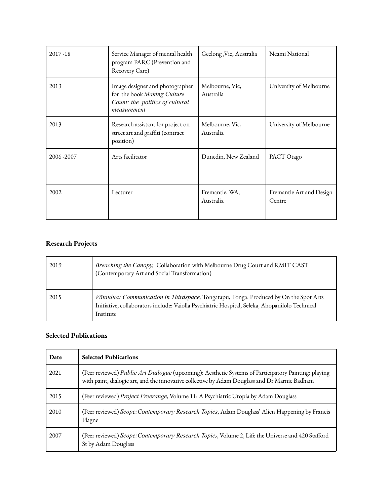| $2017 - 18$ | Service Manager of mental health<br>program PARC (Prevention and<br>Recovery Care)                               | Geelong , Vic, Australia     | Neami National                     |
|-------------|------------------------------------------------------------------------------------------------------------------|------------------------------|------------------------------------|
| 2013        | Image designer and photographer<br>for the book Making Culture<br>Count: the politics of cultural<br>measurement | Melbourne, Vic,<br>Australia | University of Melbourne            |
| 2013        | Research assistant for project on<br>street art and graffiti (contract<br>position)                              | Melbourne, Vic,<br>Australia | University of Melbourne            |
| 2006-2007   | Arts facilitator                                                                                                 | Dunedin, New Zealand         | PACT Otago                         |
| 2002        | Lecturer                                                                                                         | Fremantle, WA,<br>Australia  | Fremantle Art and Design<br>Centre |

# **Research Projects**

| 2019 | Breaching the Canopy, Collaboration with Melbourne Drug Court and RMIT CAST<br>(Contemporary Art and Social Transformation)                                                                          |
|------|------------------------------------------------------------------------------------------------------------------------------------------------------------------------------------------------------|
| 2015 | Vātaulua: Communication in Thirdspace, Tongatapu, Tonga. Produced by On the Spot Arts<br>Initiative, collaborators include: Vaiolla Psychiatric Hospital, Seleka, Ahopanilolo Technical<br>Institute |

#### **Selected Publications**

| Date | <b>Selected Publications</b>                                                                                                                                                                          |
|------|-------------------------------------------------------------------------------------------------------------------------------------------------------------------------------------------------------|
| 2021 | (Peer reviewed) Public Art Dialogue (upcoming): Aesthetic Systems of Participatory Painting: playing<br>with paint, dialogic art, and the innovative collective by Adam Douglass and Dr Marnie Badham |
| 2015 | (Peer reviewed) Project Freerange, Volume 11: A Psychiatric Utopia by Adam Douglass                                                                                                                   |
| 2010 | (Peer reviewed) Scope: Contemporary Research Topics, Adam Douglass' Alien Happening by Francis<br>Plagne                                                                                              |
| 2007 | (Peer reviewed) Scope: Contemporary Research Topics, Volume 2, Life the Universe and 420 Stafford<br>St by Adam Douglass                                                                              |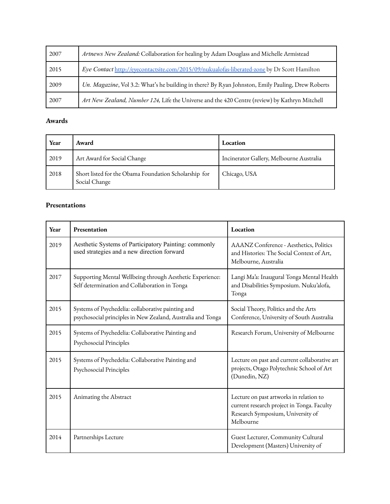| 2007 | Artnews New Zealand: Collaboration for healing by Adam Douglass and Michelle Armistead            |
|------|---------------------------------------------------------------------------------------------------|
| 2015 | Eye Contact http://eyecontactsite.com/2015/09/nukualofas-liberated-zone by Dr Scott Hamilton      |
| 2009 |                                                                                                   |
|      | Un. Magazine, Vol 3.2: What's he building in there? By Ryan Johnston, Emily Pauling, Drew Roberts |

#### **Awards**

| Year | Award                                                                  | Location                                 |
|------|------------------------------------------------------------------------|------------------------------------------|
| 2019 | Art Award for Social Change                                            | Incinerator Gallery, Melbourne Australia |
| 2018 | Short listed for the Obama Foundation Scholarship for<br>Social Change | Chicago, USA                             |

#### **Presentations**

| Year | Presentation                                                                                                      | Location                                                                                                                                |
|------|-------------------------------------------------------------------------------------------------------------------|-----------------------------------------------------------------------------------------------------------------------------------------|
| 2019 | Aesthetic Systems of Participatory Painting: commonly<br>used strategies and a new direction forward              | AAANZ Conference - Aesthetics, Politics<br>and Histories: The Social Context of Art,<br>Melbourne, Australia                            |
| 2017 | Supporting Mental Wellbeing through Aesthetic Experience:<br>Self determination and Collaboration in Tonga        | Langi Ma'a: Inaugural Tonga Mental Health<br>and Disabilities Symposium. Nuku'alofa,<br>Tonga                                           |
| 2015 | Systems of Psychedelia: collaborative painting and<br>psychosocial principles in New Zealand, Australia and Tonga | Social Theory, Politics and the Arts<br>Conference, University of South Australia                                                       |
| 2015 | Systems of Psychedelia: Collaborative Painting and<br>Psychosocial Principles                                     | Research Forum, University of Melbourne                                                                                                 |
| 2015 | Systems of Psychedelia: Collaborative Painting and<br>Psychosocial Principles                                     | Lecture on past and current collaborative art<br>projects, Otago Polytechnic School of Art<br>(Dunedin, NZ)                             |
| 2015 | Animating the Abstract                                                                                            | Lecture on past artworks in relation to<br>current research project in Tonga. Faculty<br>Research Symposium, University of<br>Melbourne |
| 2014 | Partnerships Lecture                                                                                              | Guest Lecturer, Community Cultural<br>Development (Masters) University of                                                               |